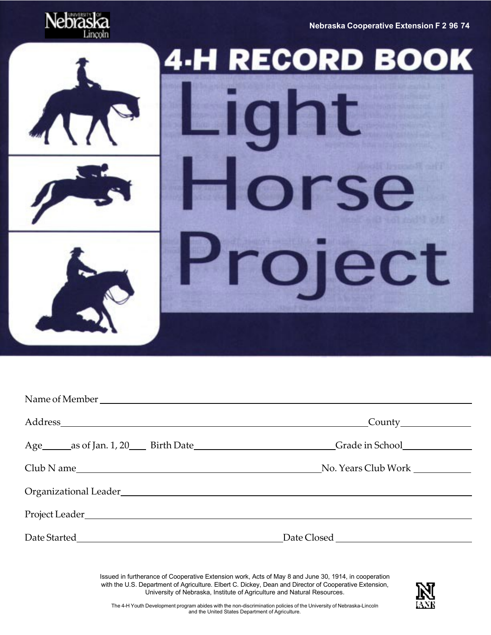**Nebraska Cooperative Extension F 2-96-74**



# **4-H RECORD** BOOK ij €

|                                                                                                                | $\begin{array}{c} \text{Country} \end{array}$ |
|----------------------------------------------------------------------------------------------------------------|-----------------------------------------------|
| Age _______ as of Jan. 1, 20 ______ Birth Date ________________________________Grade in School _______________ |                                               |
| Club N ame                                                                                                     | No. Years Club Work                           |
|                                                                                                                |                                               |
|                                                                                                                |                                               |
|                                                                                                                | Date Closed                                   |

Issued in furtherance of Cooperative Extension work, Acts of May 8 and June 30, 1914, in cooperation with the U.S. Department of Agriculture. Elbert C. Dickey, Dean and Director of Cooperative Extension, University of Nebraska, Institute of Agriculture and Natural Resources.

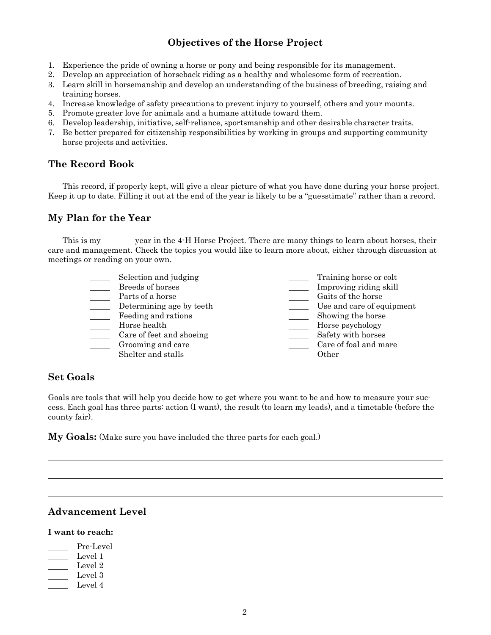### **Objectives of the Horse Project**

- 1. Experience the pride of owning a horse or pony and being responsible for its management.
- 2. Develop an appreciation of horseback riding as a healthy and wholesome form of recreation.
- 3. Learn skill in horsemanship and develop an understanding of the business of breeding, raising and training horses.
- 4. Increase knowledge of safety precautions to prevent injury to yourself, others and your mounts.
- 5. Promote greater love for animals and a humane attitude toward them.
- 6. Develop leadership, initiative, self-reliance, sportsmanship and other desirable character traits.
- 7. Be better prepared for citizenship responsibilities by working in groups and supporting community horse projects and activities.

### **The Record Book**

This record, if properly kept, will give a clear picture of what you have done during your horse project. Keep it up to date. Filling it out at the end of the year is likely to be a "guesstimate" rather than a record.

### **My Plan for the Year**

This is my year in the 4-H Horse Project. There are many things to learn about horses, their care and management. Check the topics you would like to learn more about, either through discussion at meetings or reading on your own.

| Selection and judging    | Training horse or colt    |
|--------------------------|---------------------------|
| Breeds of horses         | Improving riding skill    |
| Parts of a horse         | Gaits of the horse        |
| Determining age by teeth | Use and care of equipment |
| Feeding and rations      | Showing the horse         |
| Horse health             | Horse psychology          |
| Care of feet and shoeing | Safety with horses        |
| Grooming and care        | Care of foal and mare     |
| Shelter and stalls       | Other                     |
|                          |                           |

### **Set Goals**

Goals are tools that will help you decide how to get where you want to be and how to measure your success. Each goal has three parts: action (I want), the result (to learn my leads), and a timetable (before the county fair).

**My Goals:** (Make sure you have included the three parts for each goal.)

### **Advancement Level**

### **I want to reach:**

Pre-Level  $\angle$  Level 1 Level 2 Level 3 Level 4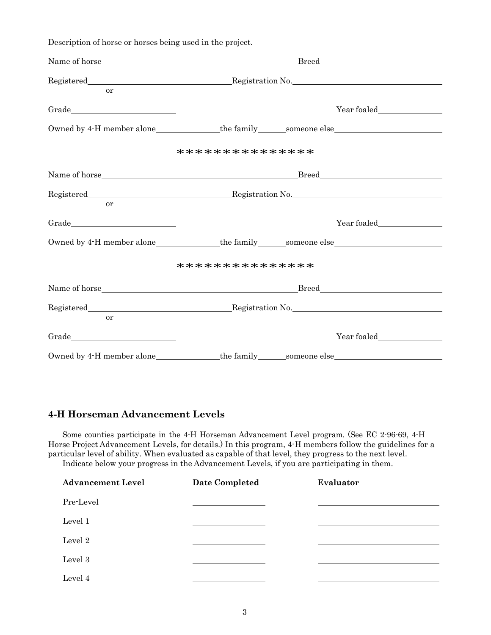| Description of horse or horses being used in the project.                                                                    |                                                                                                      |
|------------------------------------------------------------------------------------------------------------------------------|------------------------------------------------------------------------------------------------------|
|                                                                                                                              |                                                                                                      |
| <sub>or</sub>                                                                                                                |                                                                                                      |
|                                                                                                                              | Year foaled                                                                                          |
|                                                                                                                              | Owned by 4-H member alone______________the family______someone else_________________________________ |
|                                                                                                                              | ***************                                                                                      |
|                                                                                                                              |                                                                                                      |
| <b>or</b>                                                                                                                    |                                                                                                      |
| $\begin{tabular}{c} Grade \end{tabular} \begin{tabular}{c} \includegraphics[width=0.35\textwidth]{figs/1000}} \end{tabular}$ | Year foaled                                                                                          |
|                                                                                                                              | Owned by 4-H member alone______________the family______someone else_________________________________ |
|                                                                                                                              | ***************                                                                                      |
|                                                                                                                              |                                                                                                      |
| or                                                                                                                           |                                                                                                      |
|                                                                                                                              |                                                                                                      |
|                                                                                                                              | Owned by 4.H member alone________________the family_______someone else______________________________ |

### **4-H Horseman Advancement Levels**

Some counties participate in the 4-H Horseman Advancement Level program. (See EC 2-96-69, 4-H Horse Project Advancement Levels, for details.) In this program, 4-H members follow the guidelines for a particular level of ability. When evaluated as capable of that level, they progress to the next level. Indicate below your progress in the Advancement Levels, if you are participating in them.

| <b>Advancement Level</b> | <b>Date Completed</b> | Evaluator |
|--------------------------|-----------------------|-----------|
| Pre-Level                |                       |           |
| Level 1                  |                       |           |
| Level 2                  |                       |           |
| Level 3                  |                       |           |
| Level 4                  |                       |           |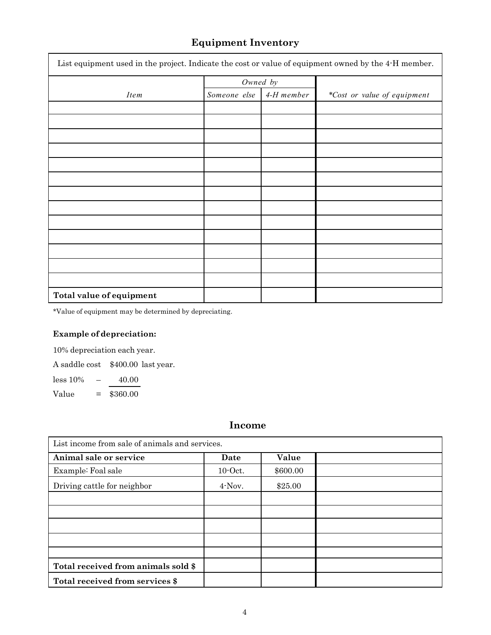# **Equipment Inventory**

| List equipment used in the project. Indicate the cost or value of equipment owned by the 4-H member. |              |            |                             |  |  |  |  |
|------------------------------------------------------------------------------------------------------|--------------|------------|-----------------------------|--|--|--|--|
|                                                                                                      | Owned by     |            |                             |  |  |  |  |
| <i>Item</i>                                                                                          | Someone else | 4-H member | *Cost or value of equipment |  |  |  |  |
|                                                                                                      |              |            |                             |  |  |  |  |
|                                                                                                      |              |            |                             |  |  |  |  |
|                                                                                                      |              |            |                             |  |  |  |  |
|                                                                                                      |              |            |                             |  |  |  |  |
|                                                                                                      |              |            |                             |  |  |  |  |
|                                                                                                      |              |            |                             |  |  |  |  |
|                                                                                                      |              |            |                             |  |  |  |  |
|                                                                                                      |              |            |                             |  |  |  |  |
|                                                                                                      |              |            |                             |  |  |  |  |
|                                                                                                      |              |            |                             |  |  |  |  |
|                                                                                                      |              |            |                             |  |  |  |  |
|                                                                                                      |              |            |                             |  |  |  |  |
|                                                                                                      |              |            |                             |  |  |  |  |
| Total value of equipment                                                                             |              |            |                             |  |  |  |  |

\*Value of equipment may be determined by depreciating.

### **Example of depreciation:**

10% depreciation each year.

A saddle cost \$400.00 last year.

less 10% – 40.00

Value = \$360.00

# **Income**

| List income from sale of animals and services. |            |          |  |  |  |  |  |
|------------------------------------------------|------------|----------|--|--|--|--|--|
| Animal sale or service                         | Date       | Value    |  |  |  |  |  |
| Example: Foal sale                             | $10$ -Oct. | \$600.00 |  |  |  |  |  |
| Driving cattle for neighbor                    | 4-Nov.     | \$25.00  |  |  |  |  |  |
|                                                |            |          |  |  |  |  |  |
|                                                |            |          |  |  |  |  |  |
|                                                |            |          |  |  |  |  |  |
|                                                |            |          |  |  |  |  |  |
|                                                |            |          |  |  |  |  |  |
| Total received from animals sold \$            |            |          |  |  |  |  |  |
| Total received from services \$                |            |          |  |  |  |  |  |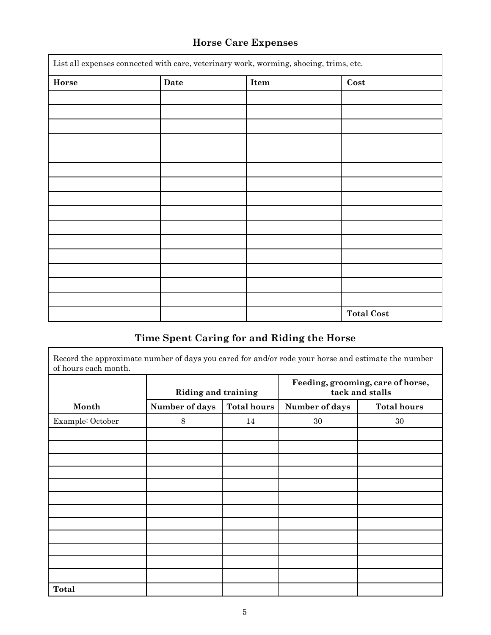# **Horse Care Expenses**

| List all expenses connected with care, veterinary work, worming, shoeing, trims, etc. |      |      |                   |  |  |  |
|---------------------------------------------------------------------------------------|------|------|-------------------|--|--|--|
| Horse                                                                                 | Date | Item | $\mathbf{Cost}$   |  |  |  |
|                                                                                       |      |      |                   |  |  |  |
|                                                                                       |      |      |                   |  |  |  |
|                                                                                       |      |      |                   |  |  |  |
|                                                                                       |      |      |                   |  |  |  |
|                                                                                       |      |      |                   |  |  |  |
|                                                                                       |      |      |                   |  |  |  |
|                                                                                       |      |      |                   |  |  |  |
|                                                                                       |      |      |                   |  |  |  |
|                                                                                       |      |      |                   |  |  |  |
|                                                                                       |      |      |                   |  |  |  |
|                                                                                       |      |      |                   |  |  |  |
|                                                                                       |      |      |                   |  |  |  |
|                                                                                       |      |      |                   |  |  |  |
|                                                                                       |      |      |                   |  |  |  |
|                                                                                       |      |      |                   |  |  |  |
|                                                                                       |      |      | <b>Total Cost</b> |  |  |  |

### **Time Spent Caring for and Riding the Horse**

Record the approximate number of days you cared for and/or rode your horse and estimate the number of hours each month.

|                  | <b>Riding and training</b> |                    | Feeding, grooming, care of horse,<br>tack and stalls |                    |  |  |
|------------------|----------------------------|--------------------|------------------------------------------------------|--------------------|--|--|
| Month            | Number of days             | <b>Total hours</b> | Number of days                                       | <b>Total hours</b> |  |  |
| Example: October | $8\,$                      | 14                 | 30                                                   | 30                 |  |  |
|                  |                            |                    |                                                      |                    |  |  |
|                  |                            |                    |                                                      |                    |  |  |
|                  |                            |                    |                                                      |                    |  |  |
|                  |                            |                    |                                                      |                    |  |  |
|                  |                            |                    |                                                      |                    |  |  |
|                  |                            |                    |                                                      |                    |  |  |
|                  |                            |                    |                                                      |                    |  |  |
|                  |                            |                    |                                                      |                    |  |  |
|                  |                            |                    |                                                      |                    |  |  |
|                  |                            |                    |                                                      |                    |  |  |
|                  |                            |                    |                                                      |                    |  |  |
|                  |                            |                    |                                                      |                    |  |  |
| <b>Total</b>     |                            |                    |                                                      |                    |  |  |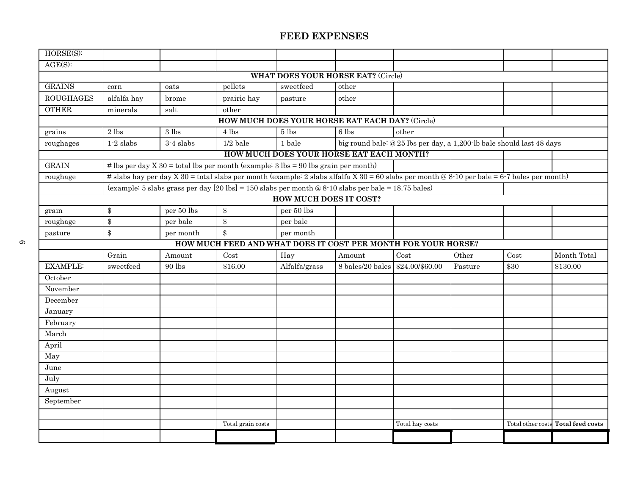| $HORSE(S)$ :     |             |             |                                                                                                                                             |                               |                                                 |                                                                       |         |                   |                  |
|------------------|-------------|-------------|---------------------------------------------------------------------------------------------------------------------------------------------|-------------------------------|-------------------------------------------------|-----------------------------------------------------------------------|---------|-------------------|------------------|
| AGE(S):          |             |             |                                                                                                                                             |                               |                                                 |                                                                       |         |                   |                  |
|                  |             |             |                                                                                                                                             |                               | <b>WHAT DOES YOUR HORSE EAT?</b> (Circle)       |                                                                       |         |                   |                  |
| <b>GRAINS</b>    | corn        | oats        | pellets                                                                                                                                     | sweetfeed                     | other                                           |                                                                       |         |                   |                  |
| <b>ROUGHAGES</b> | alfalfa hay | brome       | prairie hay                                                                                                                                 | pasture                       | other                                           |                                                                       |         |                   |                  |
| <b>OTHER</b>     | minerals    | salt        | other                                                                                                                                       |                               |                                                 |                                                                       |         |                   |                  |
|                  |             |             |                                                                                                                                             |                               | HOW MUCH DOES YOUR HORSE EAT EACH DAY? (Circle) |                                                                       |         |                   |                  |
| grains           | $2$ lbs     | $3$ lbs     | 4 lbs                                                                                                                                       | 5 lbs                         | 6 lbs                                           | other                                                                 |         |                   |                  |
| roughages        | $1-2$ slabs | $3-4$ slabs | $1/2$ bale                                                                                                                                  | 1 bale                        |                                                 | big round bale: @ 25 lbs per day, a 1,200 lb bale should last 48 days |         |                   |                  |
|                  |             |             |                                                                                                                                             |                               | HOW MUCH DOES YOUR HORSE EAT EACH MONTH?        |                                                                       |         |                   |                  |
| <b>GRAIN</b>     |             |             | # lbs per day X 30 = total lbs per month (example: $3 \text{ lbs} = 90 \text{ lbs}$ grain per month)                                        |                               |                                                 |                                                                       |         |                   |                  |
| roughage         |             |             | # slabs hay per day X 30 = total slabs per month (example: 2 slabs alfalfa X 30 = 60 slabs per month @ 8-10 per bale = 6-7 bales per month) |                               |                                                 |                                                                       |         |                   |                  |
|                  |             |             | (example: 5 slabs grass per day $[20 \text{ lbs}] = 150$ slabs per month @ 8-10 slabs per bale = 18.75 bales)                               |                               |                                                 |                                                                       |         |                   |                  |
|                  |             |             |                                                                                                                                             | <b>HOW MUCH DOES IT COST?</b> |                                                 |                                                                       |         |                   |                  |
| grain            | \$          | per 50 lbs  | $\$\$                                                                                                                                       | $\, {\rm per}$ 50 lbs         |                                                 |                                                                       |         |                   |                  |
| roughage         | \$          | per bale    | $\boldsymbol{\$\}$                                                                                                                          | per bale                      |                                                 |                                                                       |         |                   |                  |
| pasture          | \$          | per month   | $\boldsymbol{\$\}$                                                                                                                          | per month                     |                                                 |                                                                       |         |                   |                  |
|                  |             |             | HOW MUCH FEED AND WHAT DOES IT COST PER MONTH FOR YOUR HORSE?                                                                               |                               |                                                 |                                                                       |         |                   |                  |
|                  | Grain       | Amount      | Cost                                                                                                                                        | Hay                           | Amount                                          | Cost                                                                  | Other   | Cost              | Month Total      |
| <b>EXAMPLE:</b>  | sweetfeed   | 90 lbs      | \$16.00                                                                                                                                     | Alfalfa/grass                 | 8 bales/20 bales                                | \$24.00/\$60.00                                                       | Pasture | \$30              | \$130.00         |
| October          |             |             |                                                                                                                                             |                               |                                                 |                                                                       |         |                   |                  |
| November         |             |             |                                                                                                                                             |                               |                                                 |                                                                       |         |                   |                  |
| December         |             |             |                                                                                                                                             |                               |                                                 |                                                                       |         |                   |                  |
| January          |             |             |                                                                                                                                             |                               |                                                 |                                                                       |         |                   |                  |
| February         |             |             |                                                                                                                                             |                               |                                                 |                                                                       |         |                   |                  |
| March            |             |             |                                                                                                                                             |                               |                                                 |                                                                       |         |                   |                  |
| April            |             |             |                                                                                                                                             |                               |                                                 |                                                                       |         |                   |                  |
| May              |             |             |                                                                                                                                             |                               |                                                 |                                                                       |         |                   |                  |
| June             |             |             |                                                                                                                                             |                               |                                                 |                                                                       |         |                   |                  |
| July             |             |             |                                                                                                                                             |                               |                                                 |                                                                       |         |                   |                  |
| August           |             |             |                                                                                                                                             |                               |                                                 |                                                                       |         |                   |                  |
| September        |             |             |                                                                                                                                             |                               |                                                 |                                                                       |         |                   |                  |
|                  |             |             |                                                                                                                                             |                               |                                                 |                                                                       |         |                   |                  |
|                  |             |             | Total grain costs                                                                                                                           |                               |                                                 | Total hay costs                                                       |         | Total other costs | Total feed costs |
|                  |             |             |                                                                                                                                             |                               |                                                 |                                                                       |         |                   |                  |
|                  |             |             |                                                                                                                                             |                               |                                                 |                                                                       |         |                   |                  |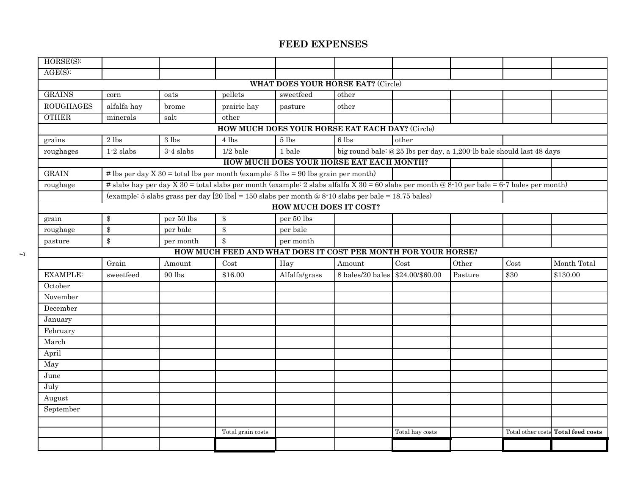| HORSE(S):                                 |                    |                       |                                                                                                                                             |                               |                                          |                                                                       |         |      |                                    |  |
|-------------------------------------------|--------------------|-----------------------|---------------------------------------------------------------------------------------------------------------------------------------------|-------------------------------|------------------------------------------|-----------------------------------------------------------------------|---------|------|------------------------------------|--|
| AGE(S):                                   |                    |                       |                                                                                                                                             |                               |                                          |                                                                       |         |      |                                    |  |
| <b>WHAT DOES YOUR HORSE EAT?</b> (Circle) |                    |                       |                                                                                                                                             |                               |                                          |                                                                       |         |      |                                    |  |
| <b>GRAINS</b>                             | corn               | oats                  | pellets                                                                                                                                     | sweetfeed                     | other                                    |                                                                       |         |      |                                    |  |
| <b>ROUGHAGES</b>                          | alfalfa hay        | brome                 | prairie hay                                                                                                                                 | pasture                       | other                                    |                                                                       |         |      |                                    |  |
| <b>OTHER</b>                              | minerals           | salt                  | other                                                                                                                                       |                               |                                          |                                                                       |         |      |                                    |  |
|                                           |                    |                       | HOW MUCH DOES YOUR HORSE EAT EACH DAY? (Circle)                                                                                             |                               |                                          |                                                                       |         |      |                                    |  |
| grains                                    | $2\; \mathrm{lbs}$ | 3 lbs                 | 4 lbs                                                                                                                                       | 5 lbs                         | 6 lbs                                    | other                                                                 |         |      |                                    |  |
| roughages                                 | $1-2$ slabs        | 3-4 slabs             | $1/2$ bale                                                                                                                                  | 1 bale                        |                                          | big round bale: @ 25 lbs per day, a 1,200 lb bale should last 48 days |         |      |                                    |  |
|                                           |                    |                       |                                                                                                                                             |                               | HOW MUCH DOES YOUR HORSE EAT EACH MONTH? |                                                                       |         |      |                                    |  |
| <b>GRAIN</b>                              |                    |                       | # lbs per day $X$ 30 = total lbs per month (example: 3 lbs = 90 lbs grain per month)                                                        |                               |                                          |                                                                       |         |      |                                    |  |
| roughage                                  |                    |                       | # slabs hay per day X 30 = total slabs per month (example: 2 slabs alfalfa X 30 = 60 slabs per month @ 8-10 per bale = 6-7 bales per month) |                               |                                          |                                                                       |         |      |                                    |  |
|                                           |                    |                       | (example: 5 slabs grass per day $[20 \text{ lbs}] = 150$ slabs per month @ 8-10 slabs per bale = 18.75 bales)                               |                               |                                          |                                                                       |         |      |                                    |  |
|                                           |                    |                       |                                                                                                                                             | <b>HOW MUCH DOES IT COST?</b> |                                          |                                                                       |         |      |                                    |  |
| grain                                     | \$                 | $\, {\rm per}$ 50 lbs | \$                                                                                                                                          | per 50 lbs                    |                                          |                                                                       |         |      |                                    |  |
| roughage                                  | \$                 | per bale              | $\$\$                                                                                                                                       | per bale                      |                                          |                                                                       |         |      |                                    |  |
| pasture                                   | \$                 | per month             | $\$\$                                                                                                                                       | per month                     |                                          |                                                                       |         |      |                                    |  |
|                                           |                    |                       | HOW MUCH FEED AND WHAT DOES IT COST PER MONTH FOR YOUR HORSE?                                                                               |                               |                                          |                                                                       |         |      |                                    |  |
|                                           | Grain              | Amount                | Cost                                                                                                                                        | Hay                           | Amount                                   | Cost                                                                  | Other   | Cost | Month Total                        |  |
| <b>EXAMPLE:</b>                           | sweetfeed          | $90\,\mathrm{lbs}$    | \$16.00                                                                                                                                     | Alfalfa/grass                 | 8 bales/20 bales \$24.00/\$60.00         |                                                                       | Pasture | \$30 | \$130.00                           |  |
| October                                   |                    |                       |                                                                                                                                             |                               |                                          |                                                                       |         |      |                                    |  |
| November                                  |                    |                       |                                                                                                                                             |                               |                                          |                                                                       |         |      |                                    |  |
| December                                  |                    |                       |                                                                                                                                             |                               |                                          |                                                                       |         |      |                                    |  |
| January                                   |                    |                       |                                                                                                                                             |                               |                                          |                                                                       |         |      |                                    |  |
| February                                  |                    |                       |                                                                                                                                             |                               |                                          |                                                                       |         |      |                                    |  |
| March                                     |                    |                       |                                                                                                                                             |                               |                                          |                                                                       |         |      |                                    |  |
| April                                     |                    |                       |                                                                                                                                             |                               |                                          |                                                                       |         |      |                                    |  |
| May                                       |                    |                       |                                                                                                                                             |                               |                                          |                                                                       |         |      |                                    |  |
| June                                      |                    |                       |                                                                                                                                             |                               |                                          |                                                                       |         |      |                                    |  |
| July                                      |                    |                       |                                                                                                                                             |                               |                                          |                                                                       |         |      |                                    |  |
| August                                    |                    |                       |                                                                                                                                             |                               |                                          |                                                                       |         |      |                                    |  |
| September                                 |                    |                       |                                                                                                                                             |                               |                                          |                                                                       |         |      |                                    |  |
|                                           |                    |                       |                                                                                                                                             |                               |                                          |                                                                       |         |      |                                    |  |
|                                           |                    |                       | Total grain costs                                                                                                                           |                               |                                          | Total hay costs                                                       |         |      | Total other costs Total feed costs |  |
|                                           |                    |                       |                                                                                                                                             |                               |                                          |                                                                       |         |      |                                    |  |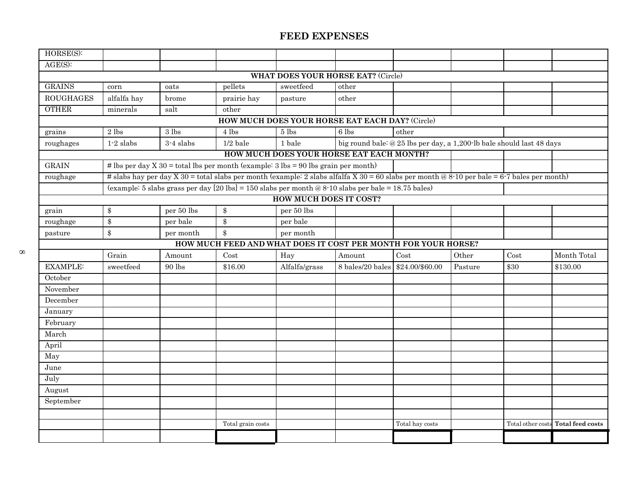| $HORSE(S)$ :     |                   |                                    |                                                                                                                                             |                               |                                                 |                                                                       |         |                   |                         |
|------------------|-------------------|------------------------------------|---------------------------------------------------------------------------------------------------------------------------------------------|-------------------------------|-------------------------------------------------|-----------------------------------------------------------------------|---------|-------------------|-------------------------|
| AGE(S):          |                   |                                    |                                                                                                                                             |                               |                                                 |                                                                       |         |                   |                         |
|                  |                   |                                    |                                                                                                                                             |                               | <b>WHAT DOES YOUR HORSE EAT?</b> (Circle)       |                                                                       |         |                   |                         |
| <b>GRAINS</b>    | corn              | oats                               | pellets                                                                                                                                     | sweetfeed                     | other                                           |                                                                       |         |                   |                         |
| <b>ROUGHAGES</b> | alfalfa hay       | brome                              | prairie hay                                                                                                                                 | pasture                       | other                                           |                                                                       |         |                   |                         |
| <b>OTHER</b>     | minerals          | salt                               | other                                                                                                                                       |                               |                                                 |                                                                       |         |                   |                         |
|                  |                   |                                    |                                                                                                                                             |                               | HOW MUCH DOES YOUR HORSE EAT EACH DAY? (Circle) |                                                                       |         |                   |                         |
| grains           | $2$ lbs           | $3$ lbs                            | 4 lbs                                                                                                                                       | 5 <sub>1</sub>                | 6 lbs                                           | other                                                                 |         |                   |                         |
| roughages        | $1-2$ slabs       | $3-4$ slabs                        | $1/2$ bale                                                                                                                                  | 1 bale                        |                                                 | big round bale: @ 25 lbs per day, a 1,200 lb bale should last 48 days |         |                   |                         |
|                  |                   |                                    |                                                                                                                                             |                               | HOW MUCH DOES YOUR HORSE EAT EACH MONTH?        |                                                                       |         |                   |                         |
| <b>GRAIN</b>     |                   |                                    | # lbs per day X 30 = total lbs per month (example: $3 \text{ lbs} = 90 \text{ lbs}$ grain per month)                                        |                               |                                                 |                                                                       |         |                   |                         |
| roughage         |                   |                                    | # slabs hay per day X 30 = total slabs per month (example: 2 slabs alfalfa X 30 = 60 slabs per month @ 8-10 per bale = 6-7 bales per month) |                               |                                                 |                                                                       |         |                   |                         |
|                  |                   |                                    | (example: 5 slabs grass per day $[20 \text{ lbs}] = 150$ slabs per month @ 8-10 slabs per bale = 18.75 bales)                               |                               |                                                 |                                                                       |         |                   |                         |
|                  |                   |                                    |                                                                                                                                             | <b>HOW MUCH DOES IT COST?</b> |                                                 |                                                                       |         |                   |                         |
| grain            | $\$\$             | per 50 lbs                         | $\$\$                                                                                                                                       | per 50 lbs                    |                                                 |                                                                       |         |                   |                         |
| roughage         | $\boldsymbol{\$}$ | per bale                           | $\boldsymbol{\$}$                                                                                                                           | per bale                      |                                                 |                                                                       |         |                   |                         |
| pasture          | $\$\$             | per month                          | $\$\$                                                                                                                                       | per month                     |                                                 |                                                                       |         |                   |                         |
|                  |                   |                                    | HOW MUCH FEED AND WHAT DOES IT COST PER MONTH FOR YOUR HORSE?                                                                               |                               |                                                 |                                                                       |         |                   |                         |
|                  | Grain             | Amount                             | Cost                                                                                                                                        | Hay                           | Amount                                          | Cost                                                                  | Other   | Cost              | Month Total             |
| <b>EXAMPLE:</b>  | sweetfeed         | $90\,\ensuremath{\, \mathrm{lbs}}$ | \$16.00                                                                                                                                     | Alfalfa/grass                 | 8 bales/20 bales                                | \$24.00/\$60.00                                                       | Pasture | \$30              | \$130.00                |
| October          |                   |                                    |                                                                                                                                             |                               |                                                 |                                                                       |         |                   |                         |
| November         |                   |                                    |                                                                                                                                             |                               |                                                 |                                                                       |         |                   |                         |
| December         |                   |                                    |                                                                                                                                             |                               |                                                 |                                                                       |         |                   |                         |
| January          |                   |                                    |                                                                                                                                             |                               |                                                 |                                                                       |         |                   |                         |
| February         |                   |                                    |                                                                                                                                             |                               |                                                 |                                                                       |         |                   |                         |
| March            |                   |                                    |                                                                                                                                             |                               |                                                 |                                                                       |         |                   |                         |
| April            |                   |                                    |                                                                                                                                             |                               |                                                 |                                                                       |         |                   |                         |
| May              |                   |                                    |                                                                                                                                             |                               |                                                 |                                                                       |         |                   |                         |
| June             |                   |                                    |                                                                                                                                             |                               |                                                 |                                                                       |         |                   |                         |
| July             |                   |                                    |                                                                                                                                             |                               |                                                 |                                                                       |         |                   |                         |
| August           |                   |                                    |                                                                                                                                             |                               |                                                 |                                                                       |         |                   |                         |
| September        |                   |                                    |                                                                                                                                             |                               |                                                 |                                                                       |         |                   |                         |
|                  |                   |                                    |                                                                                                                                             |                               |                                                 |                                                                       |         |                   |                         |
|                  |                   |                                    | Total grain costs                                                                                                                           |                               |                                                 | Total hay costs                                                       |         | Total other costs | <b>Total feed costs</b> |
|                  |                   |                                    |                                                                                                                                             |                               |                                                 |                                                                       |         |                   |                         |
|                  |                   |                                    |                                                                                                                                             |                               |                                                 |                                                                       |         |                   |                         |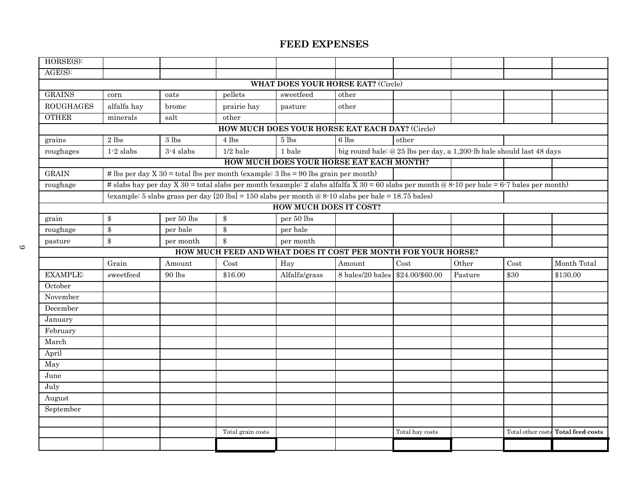| HORSE(S):                          |                            |            |                                                                                                                                             |                                                 |                                  |                                                                       |         |      |                                    |  |
|------------------------------------|----------------------------|------------|---------------------------------------------------------------------------------------------------------------------------------------------|-------------------------------------------------|----------------------------------|-----------------------------------------------------------------------|---------|------|------------------------------------|--|
| $AGE(S)$ :                         |                            |            |                                                                                                                                             |                                                 |                                  |                                                                       |         |      |                                    |  |
| WHAT DOES YOUR HORSE EAT? (Circle) |                            |            |                                                                                                                                             |                                                 |                                  |                                                                       |         |      |                                    |  |
| <b>GRAINS</b>                      | corn                       | oats       | pellets                                                                                                                                     | sweetfeed                                       | other                            |                                                                       |         |      |                                    |  |
| <b>ROUGHAGES</b>                   | alfalfa hay                | brome      | prairie hay                                                                                                                                 | pasture                                         | other                            |                                                                       |         |      |                                    |  |
| <b>OTHER</b>                       | minerals                   | salt       | other                                                                                                                                       |                                                 |                                  |                                                                       |         |      |                                    |  |
|                                    |                            |            |                                                                                                                                             | HOW MUCH DOES YOUR HORSE EAT EACH DAY? (Circle) |                                  |                                                                       |         |      |                                    |  |
| grains                             | 2 lbs                      | 3 lbs      | 4 lbs                                                                                                                                       | 5 lbs                                           | 6 lbs                            | other                                                                 |         |      |                                    |  |
| roughages                          | $1-2$ slabs                | 3-4 slabs  | $1/2$ bale                                                                                                                                  | 1 bale                                          |                                  | big round bale: @ 25 lbs per day, a 1,200 lb bale should last 48 days |         |      |                                    |  |
|                                    |                            |            |                                                                                                                                             | HOW MUCH DOES YOUR HORSE EAT EACH MONTH?        |                                  |                                                                       |         |      |                                    |  |
| <b>GRAIN</b>                       |                            |            | # lbs per day $X$ 30 = total lbs per month (example: 3 lbs = 90 lbs grain per month)                                                        |                                                 |                                  |                                                                       |         |      |                                    |  |
| roughage                           |                            |            | # slabs hay per day X 30 = total slabs per month (example: 2 slabs alfalfa X 30 = 60 slabs per month @ 8-10 per bale = 6-7 bales per month) |                                                 |                                  |                                                                       |         |      |                                    |  |
|                                    |                            |            | (example: 5 slabs grass per day $[20 \text{ lbs}] = 150 \text{ slabs}$ per month @ 8-10 slabs per bale = 18.75 bales)                       |                                                 |                                  |                                                                       |         |      |                                    |  |
|                                    |                            |            |                                                                                                                                             | <b>HOW MUCH DOES IT COST?</b>                   |                                  |                                                                       |         |      |                                    |  |
| grain                              | $\$\$                      | per 50 lbs | $\boldsymbol{\$\}$                                                                                                                          | per 50 lbs                                      |                                  |                                                                       |         |      |                                    |  |
| roughage                           | $\$\$                      | per bale   | \$                                                                                                                                          | per bale                                        |                                  |                                                                       |         |      |                                    |  |
| pasture                            | $\boldsymbol{\mathsf{\$}}$ | per month  | $\$\$                                                                                                                                       | per month                                       |                                  |                                                                       |         |      |                                    |  |
|                                    |                            |            | HOW MUCH FEED AND WHAT DOES IT COST PER MONTH FOR YOUR HORSE?                                                                               |                                                 |                                  |                                                                       |         |      |                                    |  |
|                                    | Grain                      | Amount     | Cost                                                                                                                                        | Hay                                             | Amount                           | Cost                                                                  | Other   | Cost | Month Total                        |  |
| <b>EXAMPLE:</b>                    | sweetfeed                  | $90$ lbs   | \$16.00                                                                                                                                     | Alfalfa/grass                                   | 8 bales/20 bales \$24.00/\$60.00 |                                                                       | Pasture | \$30 | \$130.00                           |  |
| October                            |                            |            |                                                                                                                                             |                                                 |                                  |                                                                       |         |      |                                    |  |
| November                           |                            |            |                                                                                                                                             |                                                 |                                  |                                                                       |         |      |                                    |  |
| December                           |                            |            |                                                                                                                                             |                                                 |                                  |                                                                       |         |      |                                    |  |
| January                            |                            |            |                                                                                                                                             |                                                 |                                  |                                                                       |         |      |                                    |  |
| February                           |                            |            |                                                                                                                                             |                                                 |                                  |                                                                       |         |      |                                    |  |
| March                              |                            |            |                                                                                                                                             |                                                 |                                  |                                                                       |         |      |                                    |  |
| April                              |                            |            |                                                                                                                                             |                                                 |                                  |                                                                       |         |      |                                    |  |
| May                                |                            |            |                                                                                                                                             |                                                 |                                  |                                                                       |         |      |                                    |  |
| June                               |                            |            |                                                                                                                                             |                                                 |                                  |                                                                       |         |      |                                    |  |
| July                               |                            |            |                                                                                                                                             |                                                 |                                  |                                                                       |         |      |                                    |  |
| August                             |                            |            |                                                                                                                                             |                                                 |                                  |                                                                       |         |      |                                    |  |
| September                          |                            |            |                                                                                                                                             |                                                 |                                  |                                                                       |         |      |                                    |  |
|                                    |                            |            |                                                                                                                                             |                                                 |                                  |                                                                       |         |      |                                    |  |
|                                    |                            |            | Total grain costs                                                                                                                           |                                                 |                                  | Total hay costs                                                       |         |      | Total other costs Total feed costs |  |
|                                    |                            |            |                                                                                                                                             |                                                 |                                  |                                                                       |         |      |                                    |  |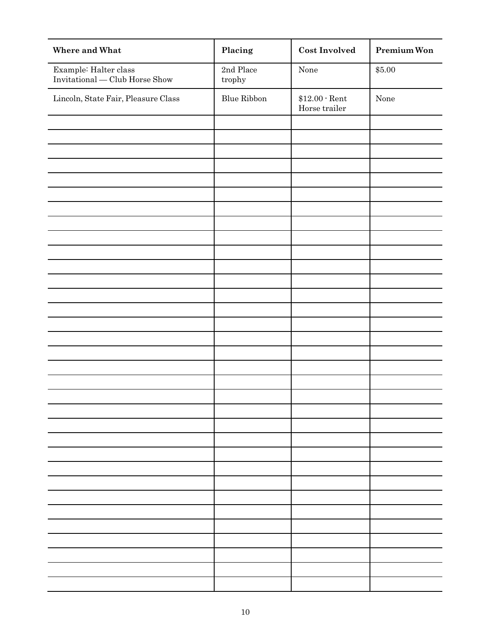| Where and What                                          | Placing                              | <b>Cost Involved</b>           | Premium Won |
|---------------------------------------------------------|--------------------------------------|--------------------------------|-------------|
| Example: Halter class<br>Invitational — Club Horse Show | 2nd Place<br>$\operatorname{trophy}$ | None                           | \$5.00      |
| Lincoln, State Fair, Pleasure Class                     | Blue Ribbon                          | $$12.00$ Rent<br>Horse trailer | None        |
|                                                         |                                      |                                |             |
|                                                         |                                      |                                |             |
|                                                         |                                      |                                |             |
|                                                         |                                      |                                |             |
|                                                         |                                      |                                |             |
|                                                         |                                      |                                |             |
|                                                         |                                      |                                |             |
|                                                         |                                      |                                |             |
|                                                         |                                      |                                |             |
|                                                         |                                      |                                |             |
|                                                         |                                      |                                |             |
|                                                         |                                      |                                |             |
|                                                         |                                      |                                |             |
|                                                         |                                      |                                |             |
|                                                         |                                      |                                |             |
|                                                         |                                      |                                |             |
|                                                         |                                      |                                |             |
|                                                         |                                      |                                |             |
|                                                         |                                      |                                |             |
|                                                         |                                      |                                |             |
|                                                         |                                      |                                |             |
|                                                         |                                      |                                |             |
|                                                         |                                      |                                |             |
|                                                         |                                      |                                |             |
|                                                         |                                      |                                |             |
|                                                         |                                      |                                |             |
|                                                         |                                      |                                |             |
|                                                         |                                      |                                |             |
|                                                         |                                      |                                |             |
|                                                         |                                      |                                |             |
|                                                         |                                      |                                |             |
|                                                         |                                      |                                |             |
|                                                         |                                      |                                |             |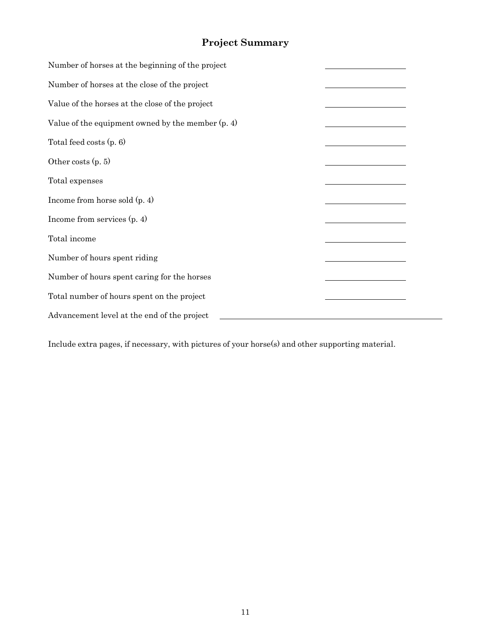# **Project Summary**

| Number of horses at the beginning of the project    |  |
|-----------------------------------------------------|--|
| Number of horses at the close of the project        |  |
| Value of the horses at the close of the project     |  |
| Value of the equipment owned by the member $(p, 4)$ |  |
| Total feed costs $(p, 6)$                           |  |
| Other costs $(p, 5)$                                |  |
| Total expenses                                      |  |
| Income from horse sold $(p, 4)$                     |  |
| Income from services $(p, 4)$                       |  |
| Total income                                        |  |
| Number of hours spent riding                        |  |
| Number of hours spent caring for the horses         |  |
| Total number of hours spent on the project          |  |
| Advancement level at the end of the project         |  |

Include extra pages, if necessary, with pictures of your horse(s) and other supporting material.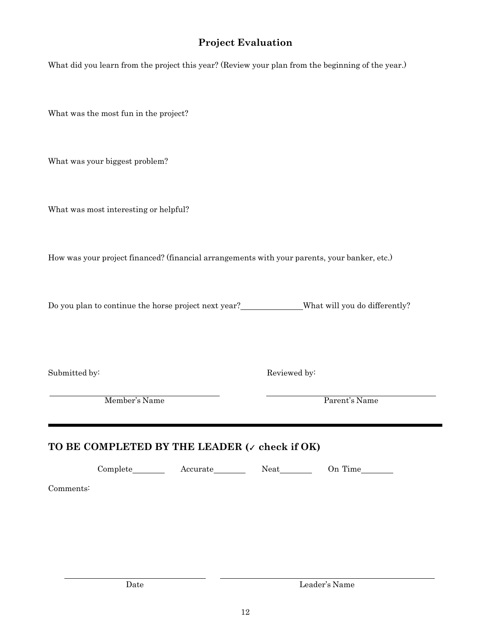### **Project Evaluation**

What did you learn from the project this year? (Review your plan from the beginning of the year.)

What was the most fun in the project?

What was your biggest problem?

What was most interesting or helpful?

How was your project financed? (financial arrangements with your parents, your banker, etc.)

Do you plan to continue the horse project next year?<br>
What will you do differently?

Submitted by: Reviewed by:

Member's Name Parent's Name

### **TO BE COMPLETED BY THE LEADER (**✓ **check if OK)**

Complete Accurate Neat On Time

Comments: